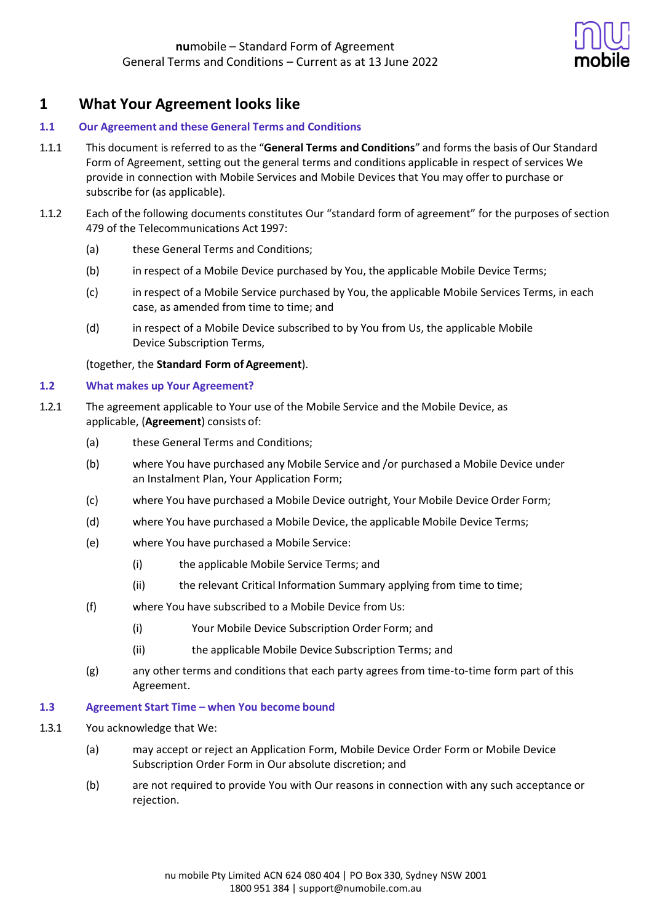

# **1 What Your Agreement looks like**

### **1.1 Our Agreement and these General Terms and Conditions**

- 1.1.1 This document is referred to as the "**General Terms and Conditions**" and forms the basis of Our Standard Form of Agreement, setting out the general terms and conditions applicable in respect of services We provide in connection with Mobile Services and Mobile Devices that You may offer to purchase or subscribe for (as applicable).
- 1.1.2 Each of the following documents constitutes Our "standard form of agreement" for the purposes of section 479 of the Telecommunications Act 1997:
	- (a) these General Terms and Conditions;
	- (b) in respect of a Mobile Device purchased by You, the applicable Mobile Device Terms;
	- (c) in respect of a Mobile Service purchased by You, the applicable Mobile Services Terms, in each case, as amended from time to time; and
	- (d) in respect of a Mobile Device subscribed to by You from Us, the applicable Mobile Device Subscription Terms,

(together, the **Standard Form of Agreement**).

### **1.2 What makes up Your Agreement?**

- 1.2.1 The agreement applicable to Your use of the Mobile Service and the Mobile Device, as applicable, (**Agreement**) consists of:
	- (a) these General Terms and Conditions;
	- (b) where You have purchased any Mobile Service and /or purchased a Mobile Device under an Instalment Plan, Your Application Form;
	- (c) where You have purchased a Mobile Device outright, Your Mobile Device Order Form;
	- (d) where You have purchased a Mobile Device, the applicable Mobile Device Terms;
	- (e) where You have purchased a Mobile Service:
		- (i) the applicable Mobile Service Terms; and
		- (ii) the relevant Critical Information Summary applying from time to time;
	- (f) where You have subscribed to a Mobile Device from Us:
		- (i) Your Mobile Device Subscription Order Form; and
		- (ii) the applicable Mobile Device Subscription Terms; and
	- (g) any other terms and conditions that each party agrees from time-to-time form part of this Agreement.

### **1.3 Agreement Start Time – when You become bound**

- 1.3.1 You acknowledge that We:
	- (a) may accept or reject an Application Form, Mobile Device Order Form or Mobile Device Subscription Order Form in Our absolute discretion; and
	- (b) are not required to provide You with Our reasons in connection with any such acceptance or rejection.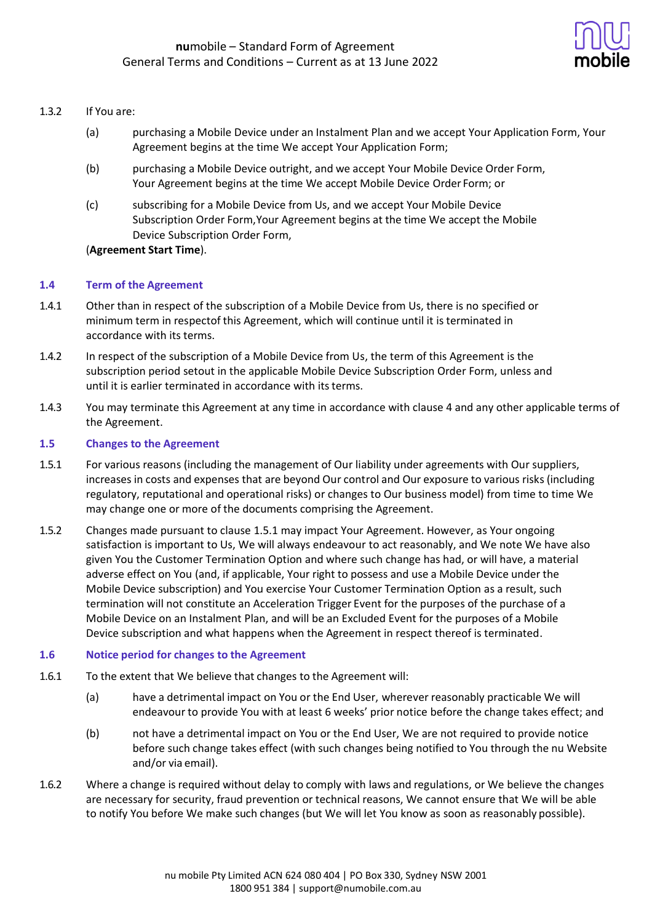

### 1.3.2 If You are:

- (a) purchasing a Mobile Device under an Instalment Plan and we accept Your Application Form, Your Agreement begins at the time We accept Your Application Form;
- (b) purchasing a Mobile Device outright, and we accept Your Mobile Device Order Form, Your Agreement begins at the time We accept Mobile Device Order Form; or
- (c) subscribing for a Mobile Device from Us, and we accept Your Mobile Device Subscription Order Form,Your Agreement begins at the time We accept the Mobile Device Subscription Order Form,

### (**Agreement Start Time**).

### **1.4 Term of the Agreement**

- 1.4.1 Other than in respect of the subscription of a Mobile Device from Us, there is no specified or minimum term in respectof this Agreement, which will continue until it is terminated in accordance with its terms.
- 1.4.2 In respect of the subscription of a Mobile Device from Us, the term of this Agreement is the subscription period setout in the applicable Mobile Device Subscription Order Form, unless and until it is earlier terminated in accordance with itsterms.
- 1.4.3 You may terminate this Agreement at any time in accordance with clause 4 and any other applicable terms of the Agreement.

### **1.5 Changes to the Agreement**

- 1.5.1 For various reasons (including the management of Our liability under agreements with Our suppliers, increases in costs and expenses that are beyond Our control and Our exposure to various risks (including regulatory, reputational and operational risks) or changes to Our business model) from time to time We may change one or more of the documents comprising the Agreement.
- 1.5.2 Changes made pursuant to clause 1.5.1 may impact Your Agreement. However, as Your ongoing satisfaction is important to Us, We will always endeavour to act reasonably, and We note We have also given You the Customer Termination Option and where such change has had, or will have, a material adverse effect on You (and, if applicable, Your right to possess and use a Mobile Device under the Mobile Device subscription) and You exercise Your Customer Termination Option as a result, such termination will not constitute an Acceleration Trigger Event for the purposes of the purchase of a Mobile Device on an Instalment Plan, and will be an Excluded Event for the purposes of a Mobile Device subscription and what happens when the Agreement in respect thereof is terminated.

### **1.6 Notice period for changes to the Agreement**

- 1.6.1 To the extent that We believe that changes to the Agreement will:
	- (a) have a detrimental impact on You or the End User, wherever reasonably practicable We will endeavour to provide You with at least 6 weeks' prior notice before the change takes effect; and
	- (b) not have a detrimental impact on You or the End User, We are not required to provide notice before such change takes effect (with such changes being notified to You through the nu Website and/or via email).
- 1.6.2 Where a change is required without delay to comply with laws and regulations, or We believe the changes are necessary for security, fraud prevention or technical reasons, We cannot ensure that We will be able to notify You before We make such changes (but We will let You know as soon as reasonably possible).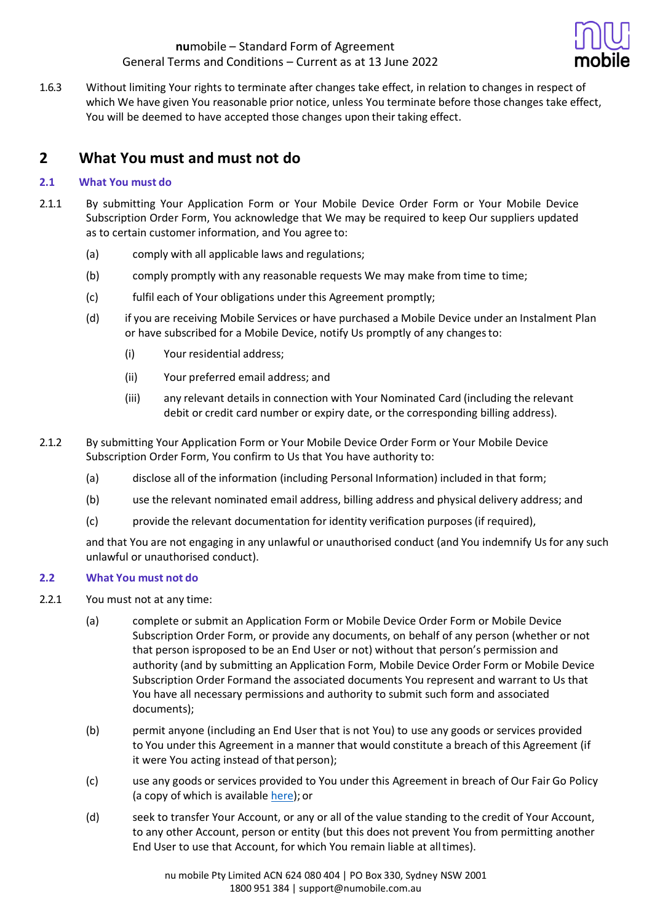

1.6.3 Without limiting Your rights to terminate after changes take effect, in relation to changes in respect of which We have given You reasonable prior notice, unless You terminate before those changes take effect, You will be deemed to have accepted those changes upon their taking effect.

# **2 What You must and must not do**

### **2.1 What You must do**

- 2.1.1 By submitting Your Application Form or Your Mobile Device Order Form or Your Mobile Device Subscription Order Form, You acknowledge that We may be required to keep Our suppliers updated as to certain customer information, and You agree to:
	- (a) comply with all applicable laws and regulations;
	- (b) comply promptly with any reasonable requests We may make from time to time;
	- (c) fulfil each of Your obligations under this Agreement promptly;
	- (d) if you are receiving Mobile Services or have purchased a Mobile Device under an Instalment Plan or have subscribed for a Mobile Device, notify Us promptly of any changesto:
		- (i) Your residential address;
		- (ii) Your preferred email address; and
		- (iii) any relevant details in connection with Your Nominated Card (including the relevant debit or credit card number or expiry date, or the corresponding billing address).
- 2.1.2 By submitting Your Application Form or Your Mobile Device Order Form or Your Mobile Device Subscription Order Form, You confirm to Us that You have authority to:
	- (a) disclose all of the information (including Personal Information) included in that form;
	- (b) use the relevant nominated email address, billing address and physical delivery address; and
	- (c) provide the relevant documentation for identity verification purposes (if required),

and that You are not engaging in any unlawful or unauthorised conduct (and You indemnify Us for any such unlawful or unauthorised conduct).

### **2.2 What You must not do**

- 2.2.1 You must not at any time:
	- (a) complete or submit an Application Form or Mobile Device Order Form or Mobile Device Subscription Order Form, or provide any documents, on behalf of any person (whether or not that person isproposed to be an End User or not) without that person's permission and authority (and by submitting an Application Form, Mobile Device Order Form or Mobile Device Subscription Order Formand the associated documents You represent and warrant to Us that You have all necessary permissions and authority to submit such form and associated documents);
	- (b) permit anyone (including an End User that is not You) to use any goods or services provided to You under this Agreement in a manner that would constitute a breach of this Agreement (if it were You acting instead of that person);
	- (c) use any goods or services provided to You under this Agreement in breach of Our Fair Go Policy (a copy of which is available [here\)](https://www.numobile.com.au/legal-stuff); or
	- (d) seek to transfer Your Account, or any or all of the value standing to the credit of Your Account, to any other Account, person or entity (but this does not prevent You from permitting another End User to use that Account, for which You remain liable at alltimes).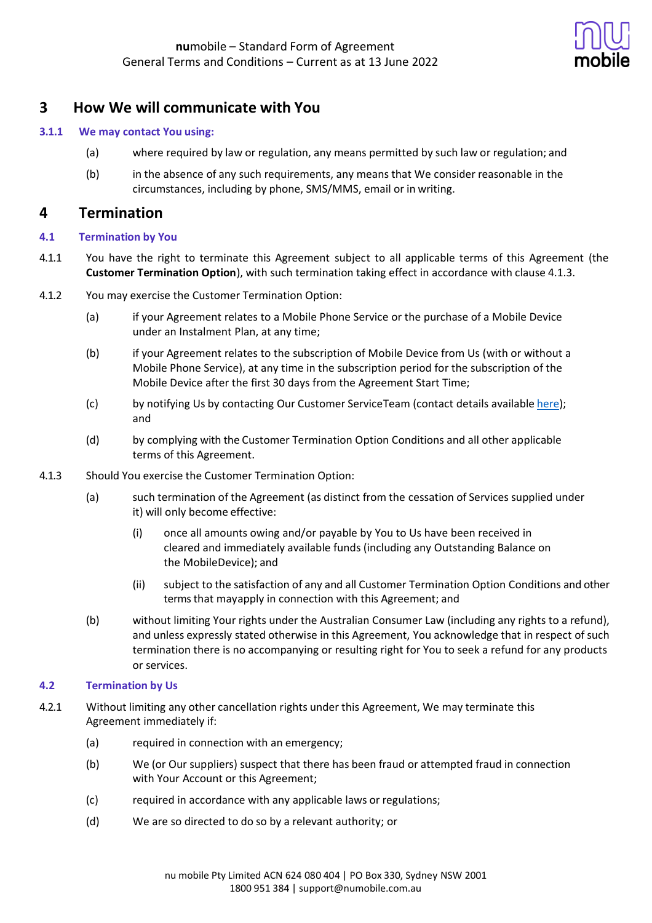

## **3 How We will communicate with You**

### **3.1.1 We may contact You using:**

- (a) where required by law or regulation, any means permitted by such law or regulation; and
- (b) in the absence of any such requirements, any means that We consider reasonable in the circumstances, including by phone, SMS/MMS, email or in writing.

## **4 Termination**

### **4.1 Termination by You**

- 4.1.1 You have the right to terminate this Agreement subject to all applicable terms of this Agreement (the **Customer Termination Option**), with such termination taking effect in accordance with clause 4.1.3.
- 4.1.2 You may exercise the Customer Termination Option:
	- (a) if your Agreement relates to a Mobile Phone Service or the purchase of a Mobile Device under an Instalment Plan, at any time;
	- (b) if your Agreement relates to the subscription of Mobile Device from Us (with or without a Mobile Phone Service), at any time in the subscription period for the subscription of the Mobile Device after the first 30 days from the Agreement Start Time;
	- (c) by notifying Us by contacting Our Customer ServiceTeam (contact details available [here\)](https://help.numobile.com.au/hc/en-us); and
	- (d) by complying with the Customer Termination Option Conditions and all other applicable terms of this Agreement.
- 4.1.3 Should You exercise the Customer Termination Option:
	- (a) such termination of the Agreement (as distinct from the cessation of Services supplied under it) will only become effective:
		- (i) once all amounts owing and/or payable by You to Us have been received in cleared and immediately available funds (including any Outstanding Balance on the MobileDevice); and
		- (ii) subject to the satisfaction of any and all Customer Termination Option Conditions and other terms that mayapply in connection with this Agreement; and
	- (b) without limiting Your rights under the Australian Consumer Law (including any rights to a refund), and unless expressly stated otherwise in this Agreement, You acknowledge that in respect of such termination there is no accompanying or resulting right for You to seek a refund for any products or services.

### **4.2 Termination by Us**

- 4.2.1 Without limiting any other cancellation rights under this Agreement, We may terminate this Agreement immediately if:
	- (a) required in connection with an emergency;
	- (b) We (or Our suppliers) suspect that there has been fraud or attempted fraud in connection with Your Account or this Agreement;
	- (c) required in accordance with any applicable laws or regulations;
	- (d) We are so directed to do so by a relevant authority; or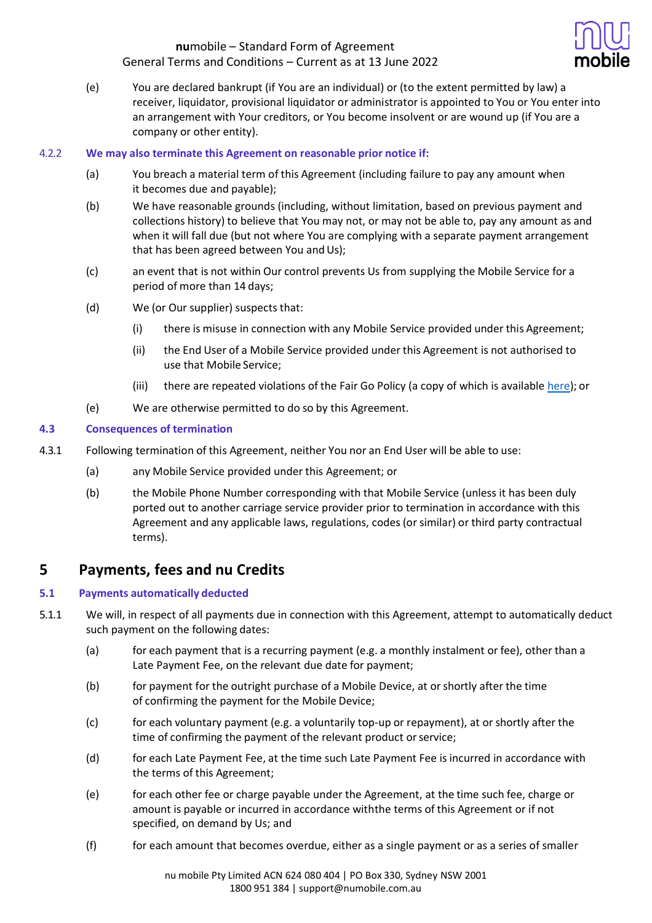

(e) You are declared bankrupt (if You are an individual) or (to the extent permitted by law) a receiver, liquidator, provisional liquidator or administrator is appointed to You or You enter into an arrangement with Your creditors, or You become insolvent or are wound up (if You are a company or other entity).

### 4.2.2 **We may also terminate this Agreement on reasonable prior notice if:**

- (a) You breach a material term of this Agreement (including failure to pay any amount when it becomes due and payable);
- (b) We have reasonable grounds (including, without limitation, based on previous payment and collections history) to believe that You may not, or may not be able to, pay any amount as and when it will fall due (but not where You are complying with a separate payment arrangement that has been agreed between You and Us);
- (c) an event that is not within Our control prevents Us from supplying the Mobile Service for a period of more than 14 days;
- (d) We (or Our supplier) suspects that:
	- (i) there is misuse in connection with any Mobile Service provided under this Agreement;
	- (ii) the End User of a Mobile Service provided under this Agreement is not authorised to use that Mobile Service;
	- (iii) there are repeated violations of the Fair Go Policy (a copy of which is available [here\)](https://www.numobile.com.au/legal-stuff); or
- (e) We are otherwise permitted to do so by this Agreement.

### **4.3 Consequences of termination**

- 4.3.1 Following termination of this Agreement, neither You nor an End User will be able to use:
	- (a) any Mobile Service provided under this Agreement; or
	- (b) the Mobile Phone Number corresponding with that Mobile Service (unless it has been duly ported out to another carriage service provider prior to termination in accordance with this Agreement and any applicable laws, regulations, codes (or similar) or third party contractual terms).

# **5 Payments, fees and nu Credits**

## **5.1 Payments automatically deducted**

- 5.1.1 We will, in respect of all payments due in connection with this Agreement, attempt to automatically deduct such payment on the following dates:
	- (a) for each payment that is a recurring payment (e.g. a monthly instalment or fee), other than a Late Payment Fee, on the relevant due date for payment;
	- (b) for payment for the outright purchase of a Mobile Device, at or shortly after the time of confirming the payment for the Mobile Device;
	- (c) for each voluntary payment (e.g. a voluntarily top-up or repayment), at or shortly after the time of confirming the payment of the relevant product or service;
	- (d) for each Late Payment Fee, at the time such Late Payment Fee is incurred in accordance with the terms of this Agreement;
	- (e) for each other fee or charge payable under the Agreement, at the time such fee, charge or amount is payable or incurred in accordance withthe terms of this Agreement or if not specified, on demand by Us; and
	- (f) for each amount that becomes overdue, either as a single payment or as a series of smaller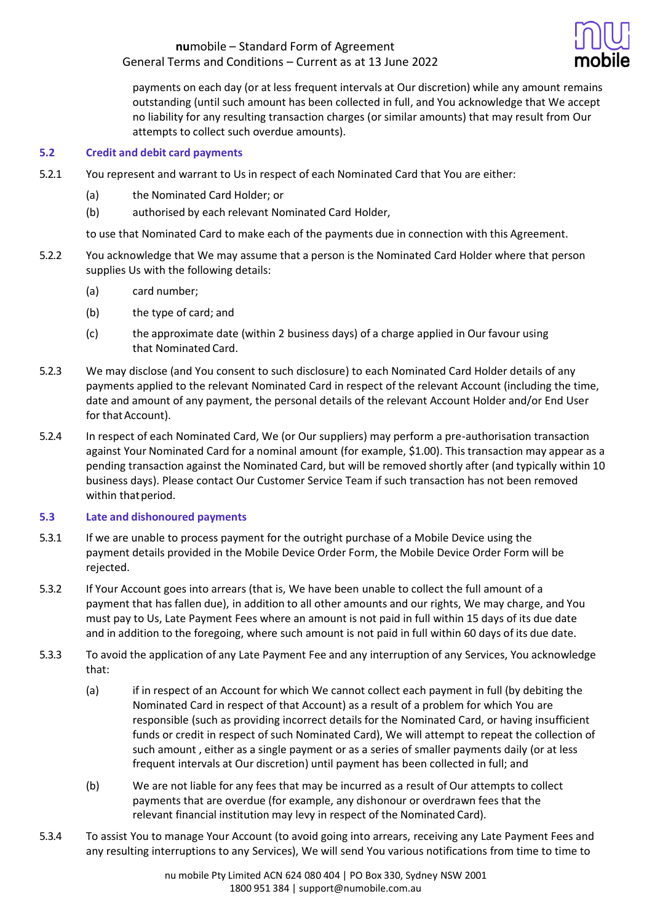

payments on each day (or at less frequent intervals at Our discretion) while any amount remains outstanding (until such amount has been collected in full, and You acknowledge that We accept no liability for any resulting transaction charges (or similar amounts) that may result from Our attempts to collect such overdue amounts).

### **5.2 Credit and debit card payments**

- 5.2.1 You represent and warrant to Us in respect of each Nominated Card that You are either:
	- (a) the Nominated Card Holder; or
	- (b) authorised by each relevant Nominated Card Holder,

to use that Nominated Card to make each of the payments due in connection with this Agreement.

- 5.2.2 You acknowledge that We may assume that a person is the Nominated Card Holder where that person supplies Us with the following details:
	- (a) card number;
	- (b) the type of card; and
	- (c) the approximate date (within 2 business days) of a charge applied in Our favour using that Nominated Card.
- 5.2.3 We may disclose (and You consent to such disclosure) to each Nominated Card Holder details of any payments applied to the relevant Nominated Card in respect of the relevant Account (including the time, date and amount of any payment, the personal details of the relevant Account Holder and/or End User for that Account).
- 5.2.4 In respect of each Nominated Card, We (or Our suppliers) may perform a pre-authorisation transaction against Your Nominated Card for a nominal amount (for example, \$1.00). This transaction may appear as a pending transaction against the Nominated Card, but will be removed shortly after (and typically within 10 business days). Please contact Our Customer Service Team if such transaction has not been removed within that period.

### **5.3 Late and dishonoured payments**

- 5.3.1 If we are unable to process payment for the outright purchase of a Mobile Device using the payment details provided in the Mobile Device Order Form, the Mobile Device Order Form will be rejected.
- 5.3.2 If Your Account goes into arrears (that is, We have been unable to collect the full amount of a payment that has fallen due), in addition to all other amounts and our rights, We may charge, and You must pay to Us, Late Payment Fees where an amount is not paid in full within 15 days of its due date and in addition to the foregoing, where such amount is not paid in full within 60 days of its due date.
- 5.3.3 To avoid the application of any Late Payment Fee and any interruption of any Services, You acknowledge that:
	- (a) if in respect of an Account for which We cannot collect each payment in full (by debiting the Nominated Card in respect of that Account) as a result of a problem for which You are responsible (such as providing incorrect details for the Nominated Card, or having insufficient funds or credit in respect of such Nominated Card), We will attempt to repeat the collection of such amount , either as a single payment or as a series of smaller payments daily (or at less frequent intervals at Our discretion) until payment has been collected in full; and
	- (b) We are not liable for any fees that may be incurred as a result of Our attempts to collect payments that are overdue (for example, any dishonour or overdrawn fees that the relevant financial institution may levy in respect of the Nominated Card).
- 5.3.4 To assist You to manage Your Account (to avoid going into arrears, receiving any Late Payment Fees and any resulting interruptions to any Services), We will send You various notifications from time to time to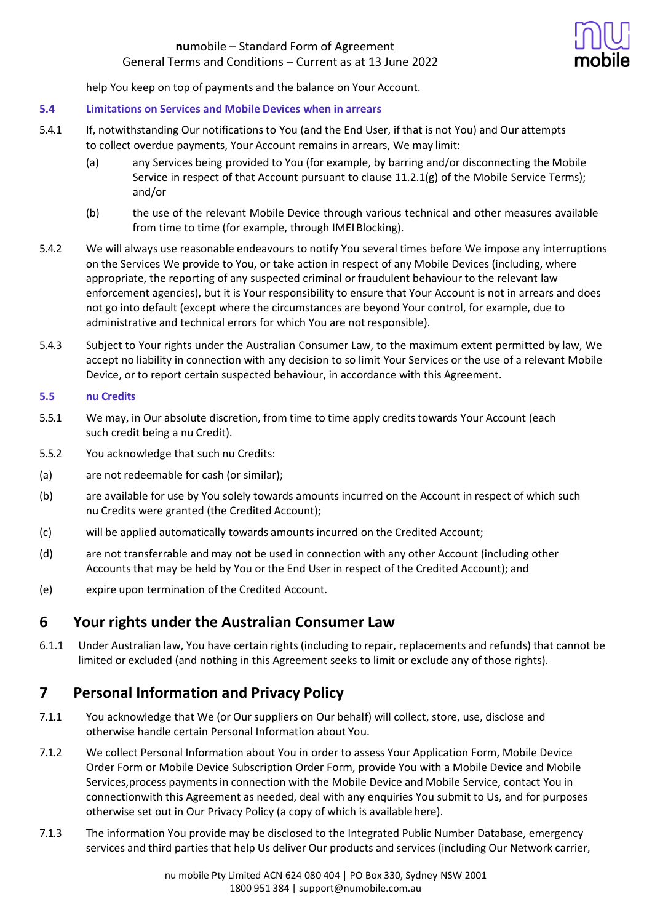

help You keep on top of payments and the balance on Your Account.

### **5.4 Limitations on Services and Mobile Devices when in arrears**

- 5.4.1 If, notwithstanding Our notifications to You (and the End User, if that is not You) and Our attempts to collect overdue payments, Your Account remains in arrears, We may limit:
	- (a) any Services being provided to You (for example, by barring and/or disconnecting the Mobile Service in respect of that Account pursuant to clause 11.2.1(g) of the Mobile Service Terms); and/or
	- (b) the use of the relevant Mobile Device through various technical and other measures available from time to time (for example, through IMEI Blocking).
- 5.4.2 We will always use reasonable endeavours to notify You several times before We impose any interruptions on the Services We provide to You, or take action in respect of any Mobile Devices (including, where appropriate, the reporting of any suspected criminal or fraudulent behaviour to the relevant law enforcement agencies), but it is Your responsibility to ensure that Your Account is not in arrears and does not go into default (except where the circumstances are beyond Your control, for example, due to administrative and technical errors for which You are notresponsible).
- 5.4.3 Subject to Your rights under the Australian Consumer Law, to the maximum extent permitted by law, We accept no liability in connection with any decision to so limit Your Services or the use of a relevant Mobile Device, or to report certain suspected behaviour, in accordance with this Agreement.

### **5.5 nu Credits**

- 5.5.1 We may, in Our absolute discretion, from time to time apply credits towards Your Account (each such credit being a nu Credit).
- 5.5.2 You acknowledge that such nu Credits:
- (a) are not redeemable for cash (or similar);
- (b) are available for use by You solely towards amounts incurred on the Account in respect of which such nu Credits were granted (the Credited Account);
- (c) will be applied automatically towards amounts incurred on the Credited Account;
- (d) are not transferrable and may not be used in connection with any other Account (including other Accounts that may be held by You or the End User in respect of the Credited Account); and
- (e) expire upon termination of the Credited Account.

## **6 Your rights under the Australian Consumer Law**

6.1.1 Under Australian law, You have certain rights (including to repair, replacements and refunds) that cannot be limited or excluded (and nothing in this Agreement seeks to limit or exclude any of those rights).

## **7 Personal Information and Privacy Policy**

- 7.1.1 You acknowledge that We (or Our suppliers on Our behalf) will collect, store, use, disclose and otherwise handle certain Personal Information about You.
- 7.1.2 We collect Personal Information about You in order to assess Your Application Form, Mobile Device Order Form or Mobile Device Subscription Order Form, provide You with a Mobile Device and Mobile Services,process payments in connection with the Mobile Device and Mobile Service, contact You in connectionwith this Agreement as needed, deal with any enquiries You submit to Us, and for purposes otherwise set out in Our Privacy Policy (a copy of which is availablehere).
- 7.1.3 The information You provide may be disclosed to the Integrated Public Number Database, emergency services and third parties that help Us deliver Our products and services (including Our Network carrier,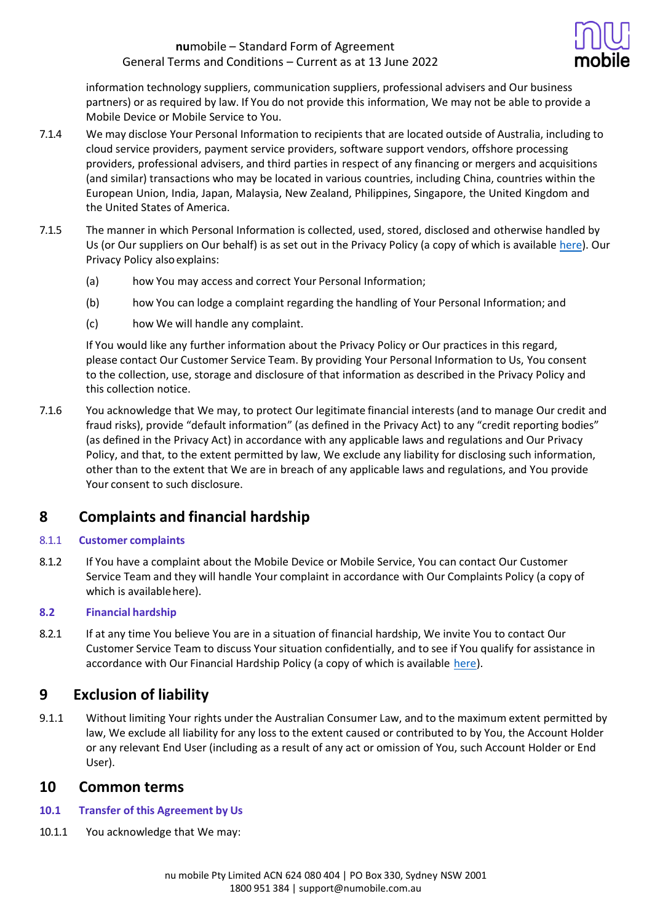

information technology suppliers, communication suppliers, professional advisers and Our business partners) or as required by law. If You do not provide this information, We may not be able to provide a Mobile Device or Mobile Service to You.

- 7.1.4 We may disclose Your Personal Information to recipients that are located outside of Australia, including to cloud service providers, payment service providers, software support vendors, offshore processing providers, professional advisers, and third parties in respect of any financing or mergers and acquisitions (and similar) transactions who may be located in various countries, including China, countries within the European Union, India, Japan, Malaysia, New Zealand, Philippines, Singapore, the United Kingdom and the United States of America.
- 7.1.5 The manner in which Personal Information is collected, used, stored, disclosed and otherwise handled by Us (or Our suppliers on Our behalf) is as set out in the Privacy Policy (a copy of which is available [here\)](https://www.numobile.com.au/legal-stuff). Our Privacy Policy alsoexplains:
	- (a) how You may access and correct Your Personal Information;
	- (b) how You can lodge a complaint regarding the handling of Your Personal Information; and
	- (c) how We will handle any complaint.

If You would like any further information about the Privacy Policy or Our practices in this regard, please contact Our Customer Service Team. By providing Your Personal Information to Us, You consent to the collection, use, storage and disclosure of that information as described in the Privacy Policy and this collection notice.

7.1.6 You acknowledge that We may, to protect Our legitimate financial interests (and to manage Our credit and fraud risks), provide "default information" (as defined in the Privacy Act) to any "credit reporting bodies" (as defined in the Privacy Act) in accordance with any applicable laws and regulations and Our Privacy Policy, and that, to the extent permitted by law, We exclude any liability for disclosing such information, other than to the extent that We are in breach of any applicable laws and regulations, and You provide Your consent to such disclosure.

## **8 Complaints and financial hardship**

### 8.1.1 **Customer complaints**

8.1.2 If You have a complaint about the Mobile Device or Mobile Service, You can contact Our Customer Service Team and they will handle Your complaint in accordance with Our Complaints Policy (a copy of which is available here).

### **8.2 Financial hardship**

8.2.1 If at any time You believe You are in a situation of financial hardship, We invite You to contact Our Customer Service Team to discuss Yoursituation confidentially, and to see if You qualify for assistance in accordance with Our Financial Hardship Policy (a copy of which is available [here\)](https://www.numobile.com.au/legal-stuff).

## **9 Exclusion of liability**

9.1.1 Without limiting Your rights under the Australian Consumer Law, and to the maximum extent permitted by law, We exclude all liability for any loss to the extent caused or contributed to by You, the Account Holder or any relevant End User (including as a result of any act or omission of You, such Account Holder or End User).

## **10 Common terms**

- **10.1 Transfer of this Agreement by Us**
- 10.1.1 You acknowledge that We may: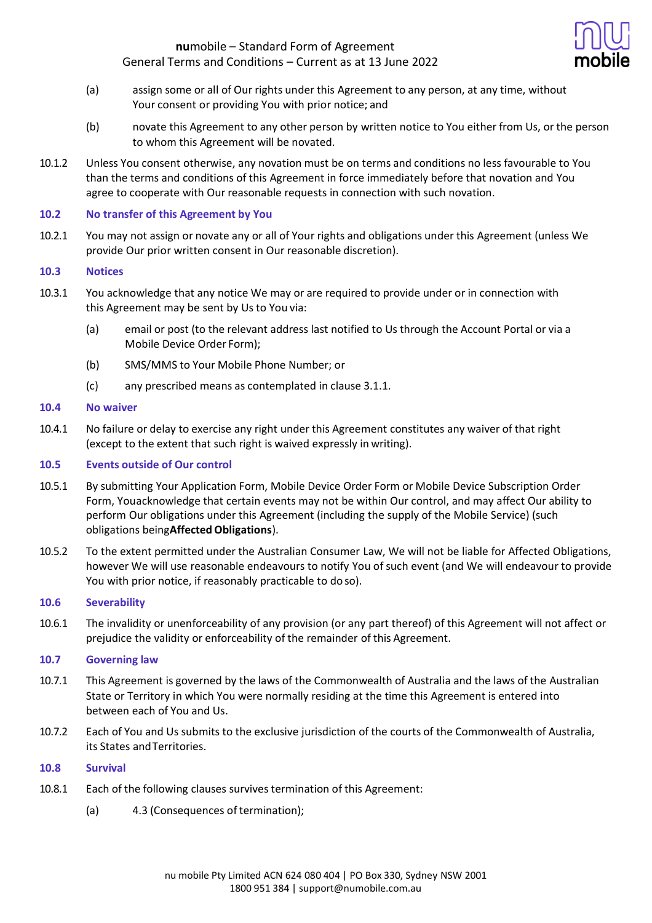

- (a) assign some or all of Our rights under this Agreement to any person, at any time, without Your consent or providing You with prior notice; and
- (b) novate this Agreement to any other person by written notice to You either from Us, or the person to whom this Agreement will be novated.
- 10.1.2 Unless You consent otherwise, any novation must be on terms and conditions no less favourable to You than the terms and conditions of this Agreement in force immediately before that novation and You agree to cooperate with Our reasonable requests in connection with such novation.

### **10.2 No transfer of this Agreement by You**

10.2.1 You may not assign or novate any or all of Your rights and obligations under this Agreement (unless We provide Our prior written consent in Our reasonable discretion).

### **10.3 Notices**

- 10.3.1 You acknowledge that any notice We may or are required to provide under or in connection with this Agreement may be sent by Us to You via:
	- (a) email or post (to the relevant address last notified to Us through the Account Portal or via a Mobile Device Order Form);
	- (b) SMS/MMS to Your Mobile Phone Number; or
	- (c) any prescribed means as contemplated in clause 3.1.1.

### **10.4 No waiver**

10.4.1 No failure or delay to exercise any right under this Agreement constitutes any waiver of that right (except to the extent that such right is waived expressly in writing).

### **10.5 Events outside of Our control**

- 10.5.1 By submitting Your Application Form, Mobile Device Order Form or Mobile Device Subscription Order Form, Youacknowledge that certain events may not be within Our control, and may affect Our ability to perform Our obligations under this Agreement (including the supply of the Mobile Service) (such obligations being**Affected Obligations**).
- 10.5.2 To the extent permitted under the Australian Consumer Law, We will not be liable for Affected Obligations, however We will use reasonable endeavours to notify You of such event (and We will endeavour to provide You with prior notice, if reasonably practicable to do so).

### **10.6 Severability**

10.6.1 The invalidity or unenforceability of any provision (or any part thereof) of this Agreement will not affect or prejudice the validity or enforceability of the remainder of this Agreement.

### **10.7 Governing law**

- 10.7.1 This Agreement is governed by the laws of the Commonwealth of Australia and the laws of the Australian State or Territory in which You were normally residing at the time this Agreement is entered into between each of You and Us.
- 10.7.2 Each of You and Us submits to the exclusive jurisdiction of the courts of the Commonwealth of Australia, its States andTerritories.

### **10.8 Survival**

- 10.8.1 Each of the following clauses survives termination of this Agreement:
	- (a) 4.3 (Consequences of termination);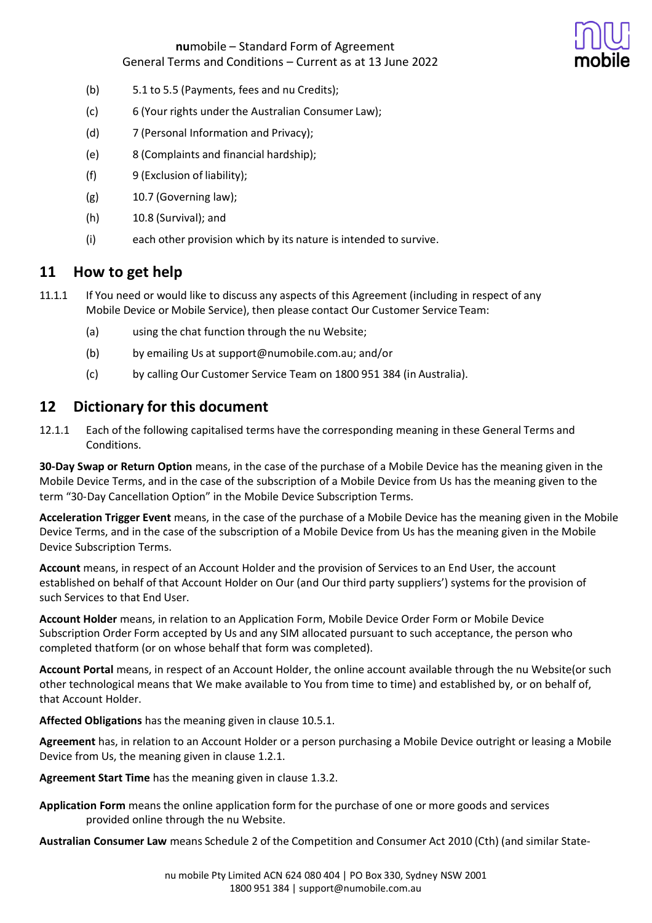

- (b) 5.1 to 5.5 (Payments, fees and nu Credits);
- (c) 6 (Your rights under the Australian Consumer Law);
- (d) 7 (Personal Information and Privacy);
- (e) 8 (Complaints and financial hardship);
- (f) 9 (Exclusion of liability);
- $(g)$  10.7 (Governing law);
- (h) 10.8 (Survival); and
- (i) each other provision which by its nature is intended to survive.

# **11 How to get help**

- 11.1.1 If You need or would like to discuss any aspects of this Agreement (including in respect of any Mobile Device or Mobile Service), then please contact Our Customer Service Team:
	- (a) using the chat function through the nu Website;
	- (b) by emailing Us at support@numobile.com.au; and/or
	- (c) by calling Our Customer Service Team on 1800 951 384 (in Australia).

# **12 Dictionary for this document**

12.1.1 Each of the following capitalised terms have the corresponding meaning in these General Terms and Conditions.

**30-Day Swap or Return Option** means, in the case of the purchase of a Mobile Device has the meaning given in the Mobile Device Terms, and in the case of the subscription of a Mobile Device from Us has the meaning given to the term "30-Day Cancellation Option" in the Mobile Device Subscription Terms.

**Acceleration Trigger Event** means, in the case of the purchase of a Mobile Device has the meaning given in the Mobile Device Terms, and in the case of the subscription of a Mobile Device from Us has the meaning given in the Mobile Device Subscription Terms.

**Account** means, in respect of an Account Holder and the provision of Services to an End User, the account established on behalf of that Account Holder on Our (and Our third party suppliers') systems for the provision of such Services to that End User.

**Account Holder** means, in relation to an Application Form, Mobile Device Order Form or Mobile Device Subscription Order Form accepted by Us and any SIM allocated pursuant to such acceptance, the person who completed thatform (or on whose behalf that form was completed).

**Account Portal** means, in respect of an Account Holder, the online account available through the nu Website(or such other technological means that We make available to You from time to time) and established by, or on behalf of, that Account Holder.

**Affected Obligations** has the meaning given in clause 10.5.1.

**Agreement** has, in relation to an Account Holder or a person purchasing a Mobile Device outright or leasing a Mobile Device from Us, the meaning given in clause 1.2.1.

**Agreement Start Time** has the meaning given in clause 1.3.2.

**Application Form** means the online application form for the purchase of one or more goods and services provided online through the nu Website.

**Australian Consumer Law** means Schedule 2 of the Competition and Consumer Act 2010 (Cth) (and similar State-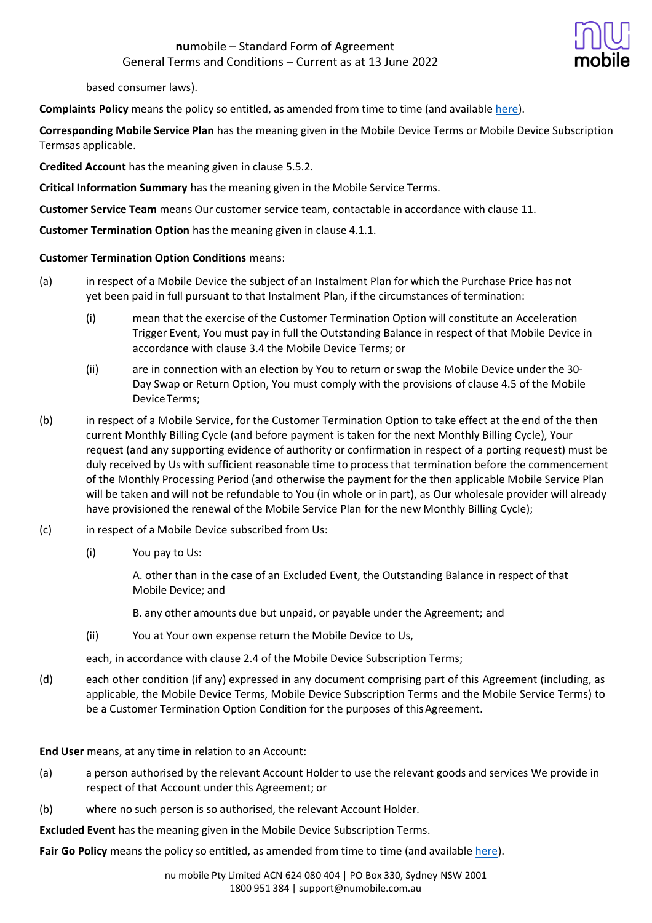

based consumer laws).

**Complaints Policy** means the policy so entitled, as amended from time to time (and available [here\)](https://www.numobile.com.au/legal-stuff).

**Corresponding Mobile Service Plan** has the meaning given in the Mobile Device Terms or Mobile Device Subscription Termsas applicable.

**Credited Account** has the meaning given in clause 5.5.2.

**Critical Information Summary** has the meaning given in the Mobile Service Terms.

**Customer Service Team** means Our customer service team, contactable in accordance with clause 11.

**Customer Termination Option** has the meaning given in clause 4.1.1.

### **Customer Termination Option Conditions** means:

- (a) in respect of a Mobile Device the subject of an Instalment Plan for which the Purchase Price has not yet been paid in full pursuant to that Instalment Plan, if the circumstances of termination:
	- (i) mean that the exercise of the Customer Termination Option will constitute an Acceleration Trigger Event, You must pay in full the Outstanding Balance in respect of that Mobile Device in accordance with clause 3.4 the Mobile Device Terms; or
	- (ii) are in connection with an election by You to return or swap the Mobile Device under the 30- Day Swap or Return Option, You must comply with the provisions of clause 4.5 of the Mobile DeviceTerms;
- (b) in respect of a Mobile Service, for the Customer Termination Option to take effect at the end of the then current Monthly Billing Cycle (and before payment is taken for the next Monthly Billing Cycle), Your request (and any supporting evidence of authority or confirmation in respect of a porting request) must be duly received by Us with sufficient reasonable time to process that termination before the commencement of the Monthly Processing Period (and otherwise the payment for the then applicable Mobile Service Plan will be taken and will not be refundable to You (in whole or in part), as Our wholesale provider will already have provisioned the renewal of the Mobile Service Plan for the new Monthly Billing Cycle);
- (c) in respect of a Mobile Device subscribed from Us:
	- (i) You pay to Us:

A. other than in the case of an Excluded Event, the Outstanding Balance in respect of that Mobile Device; and

B. any other amounts due but unpaid, or payable under the Agreement; and

(ii) You at Your own expense return the Mobile Device to Us,

each, in accordance with clause 2.4 of the Mobile Device Subscription Terms;

(d) each other condition (if any) expressed in any document comprising part of this Agreement (including, as applicable, the Mobile Device Terms, Mobile Device Subscription Terms and the Mobile Service Terms) to be a Customer Termination Option Condition for the purposes of this Agreement.

**End User** means, at any time in relation to an Account:

- (a) a person authorised by the relevant Account Holder to use the relevant goods and services We provide in respect of that Account under this Agreement; or
- (b) where no such person is so authorised, the relevant Account Holder.

**Excluded Event** has the meaning given in the Mobile Device Subscription Terms.

**Fair Go Policy** means the policy so entitled, as amended from time to time (and available [here\)](https://www.numobile.com.au/legal-stuff).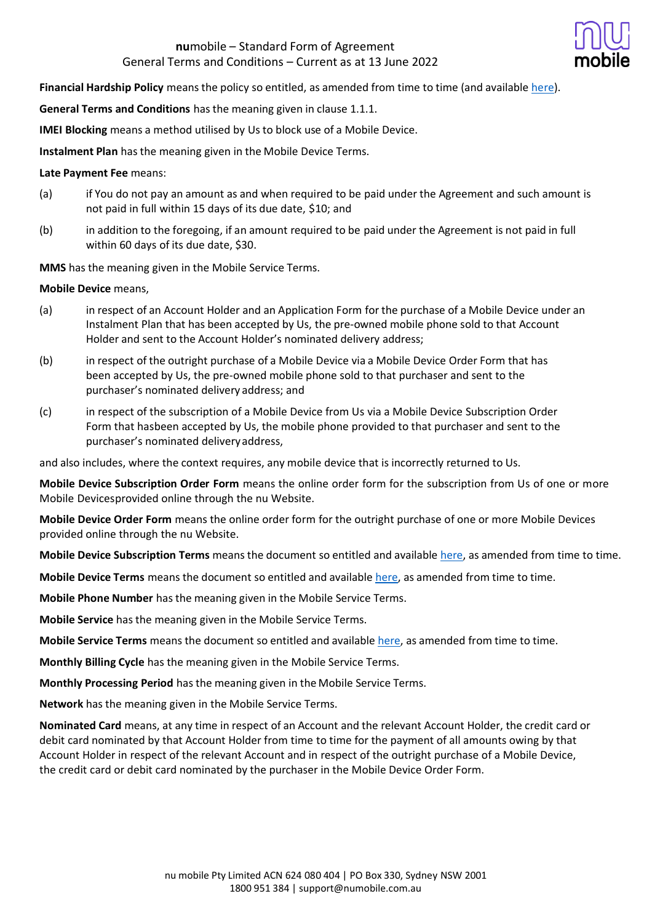

**Financial Hardship Policy** means the policy so entitled, as amended from time to time (and available [here\)](https://www.numobile.com.au/legal-stuff).

**General Terms and Conditions** has the meaning given in clause 1.1.1.

**IMEI Blocking** means a method utilised by Us to block use of a Mobile Device.

**Instalment Plan** has the meaning given in the Mobile Device Terms.

### **Late Payment Fee** means:

- (a) if You do not pay an amount as and when required to be paid under the Agreement and such amount is not paid in full within 15 days of its due date, \$10; and
- (b) in addition to the foregoing, if an amount required to be paid under the Agreement is not paid in full within 60 days of its due date, \$30.

**MMS** has the meaning given in the Mobile Service Terms.

### **Mobile Device** means,

- (a) in respect of an Account Holder and an Application Form for the purchase of a Mobile Device under an Instalment Plan that has been accepted by Us, the pre-owned mobile phone sold to that Account Holder and sent to the Account Holder's nominated delivery address;
- (b) in respect of the outright purchase of a Mobile Device via a Mobile Device Order Form that has been accepted by Us, the pre-owned mobile phone sold to that purchaser and sent to the purchaser's nominated delivery address; and
- (c) in respect of the subscription of a Mobile Device from Us via a Mobile Device Subscription Order Form that hasbeen accepted by Us, the mobile phone provided to that purchaser and sent to the purchaser's nominated deliveryaddress,

and also includes, where the context requires, any mobile device that is incorrectly returned to Us.

**Mobile Device Subscription Order Form** means the online order form for the subscription from Us of one or more Mobile Devicesprovided online through the nu Website.

**Mobile Device Order Form** means the online order form for the outright purchase of one or more Mobile Devices provided online through the nu Website.

**Mobile Device Subscription Terms** means the document so entitled and available [here,](https://www.numobile.com.au/legal-stuff) as amended from time to time.

**Mobile Device Terms** means the document so entitled and available [here,](https://www.numobile.com.au/legal-stuff) as amended from time to time.

**Mobile Phone Number** has the meaning given in the Mobile Service Terms.

**Mobile Service** has the meaning given in the Mobile Service Terms.

**Mobile Service Terms** means the document so entitled and available [here,](https://www.numobile.com.au/legal-stuff) as amended from time to time.

**Monthly Billing Cycle** has the meaning given in the Mobile Service Terms.

**Monthly Processing Period** has the meaning given in the Mobile Service Terms.

**Network** has the meaning given in the Mobile Service Terms.

**Nominated Card** means, at any time in respect of an Account and the relevant Account Holder, the credit card or debit card nominated by that Account Holder from time to time for the payment of all amounts owing by that Account Holder in respect of the relevant Account and in respect of the outright purchase of a Mobile Device, the credit card or debit card nominated by the purchaser in the Mobile Device Order Form.